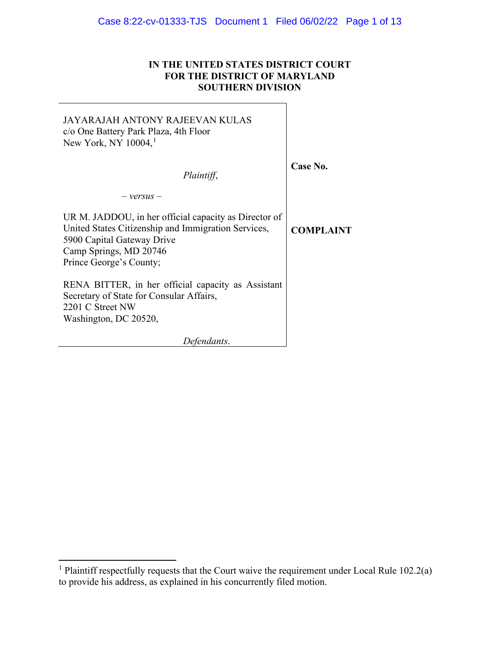# **IN THE UNITED STATES DISTRICT COURT FOR THE DISTRICT OF MARYLAND SOUTHERN DIVISION**

٦

| JAYARAJAH ANTONY RAJEEVAN KULAS<br>c/o One Battery Park Plaza, 4th Floor<br>New York, NY $10004$ , <sup>1</sup>                                                                                 |                  |
|-------------------------------------------------------------------------------------------------------------------------------------------------------------------------------------------------|------------------|
| Plaintiff,                                                                                                                                                                                      | Case No.         |
| $-$ versus $-$                                                                                                                                                                                  |                  |
| UR M. JADDOU, in her official capacity as Director of<br>United States Citizenship and Immigration Services,<br>5900 Capital Gateway Drive<br>Camp Springs, MD 20746<br>Prince George's County; | <b>COMPLAINT</b> |
| RENA BITTER, in her official capacity as Assistant<br>Secretary of State for Consular Affairs,<br>2201 C Street NW<br>Washington, DC 20520,                                                     |                  |
| Defendants.                                                                                                                                                                                     |                  |

L.

<sup>&</sup>lt;sup>1</sup> Plaintiff respectfully requests that the Court waive the requirement under Local Rule  $102.2(a)$ to provide his address, as explained in his concurrently filed motion.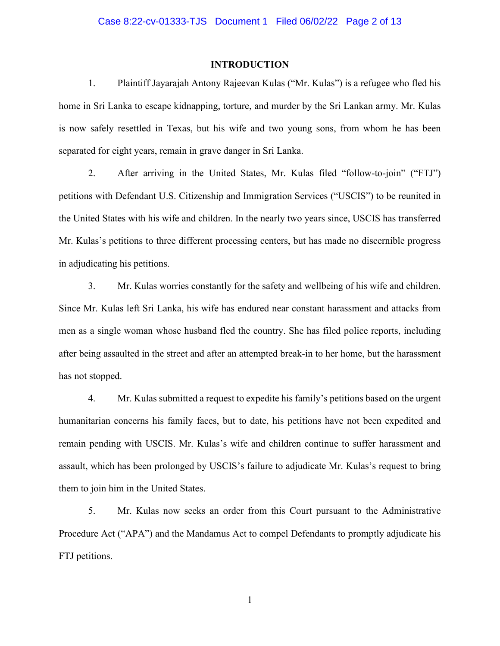#### **INTRODUCTION**

1. Plaintiff Jayarajah Antony Rajeevan Kulas ("Mr. Kulas") is a refugee who fled his home in Sri Lanka to escape kidnapping, torture, and murder by the Sri Lankan army. Mr. Kulas is now safely resettled in Texas, but his wife and two young sons, from whom he has been separated for eight years, remain in grave danger in Sri Lanka.

2. After arriving in the United States, Mr. Kulas filed "follow-to-join" ("FTJ") petitions with Defendant U.S. Citizenship and Immigration Services ("USCIS") to be reunited in the United States with his wife and children. In the nearly two years since, USCIS has transferred Mr. Kulas's petitions to three different processing centers, but has made no discernible progress in adjudicating his petitions.

3. Mr. Kulas worries constantly for the safety and wellbeing of his wife and children. Since Mr. Kulas left Sri Lanka, his wife has endured near constant harassment and attacks from men as a single woman whose husband fled the country. She has filed police reports, including after being assaulted in the street and after an attempted break-in to her home, but the harassment has not stopped.

4. Mr. Kulas submitted a request to expedite his family's petitions based on the urgent humanitarian concerns his family faces, but to date, his petitions have not been expedited and remain pending with USCIS. Mr. Kulas's wife and children continue to suffer harassment and assault, which has been prolonged by USCIS's failure to adjudicate Mr. Kulas's request to bring them to join him in the United States.

5. Mr. Kulas now seeks an order from this Court pursuant to the Administrative Procedure Act ("APA") and the Mandamus Act to compel Defendants to promptly adjudicate his FTJ petitions.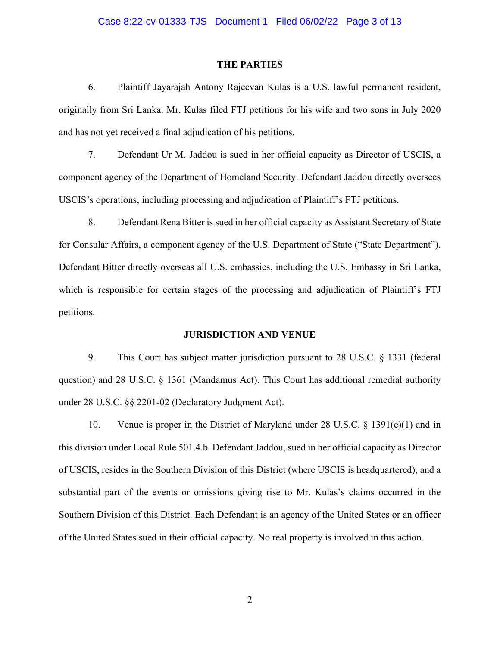#### Case 8:22-cv-01333-TJS Document 1 Filed 06/02/22 Page 3 of 13

#### **THE PARTIES**

6. Plaintiff Jayarajah Antony Rajeevan Kulas is a U.S. lawful permanent resident, originally from Sri Lanka. Mr. Kulas filed FTJ petitions for his wife and two sons in July 2020 and has not yet received a final adjudication of his petitions.

7. Defendant Ur M. Jaddou is sued in her official capacity as Director of USCIS, a component agency of the Department of Homeland Security. Defendant Jaddou directly oversees USCIS's operations, including processing and adjudication of Plaintiff's FTJ petitions.

8. Defendant Rena Bitter is sued in her official capacity as Assistant Secretary of State for Consular Affairs, a component agency of the U.S. Department of State ("State Department"). Defendant Bitter directly overseas all U.S. embassies, including the U.S. Embassy in Sri Lanka, which is responsible for certain stages of the processing and adjudication of Plaintiff's FTJ petitions.

#### **JURISDICTION AND VENUE**

9. This Court has subject matter jurisdiction pursuant to 28 U.S.C. § 1331 (federal question) and 28 U.S.C. § 1361 (Mandamus Act). This Court has additional remedial authority under 28 U.S.C. §§ 2201-02 (Declaratory Judgment Act).

10. Venue is proper in the District of Maryland under 28 U.S.C. § 1391(e)(1) and in this division under Local Rule 501.4.b. Defendant Jaddou, sued in her official capacity as Director of USCIS, resides in the Southern Division of this District (where USCIS is headquartered), and a substantial part of the events or omissions giving rise to Mr. Kulas's claims occurred in the Southern Division of this District. Each Defendant is an agency of the United States or an officer of the United States sued in their official capacity. No real property is involved in this action.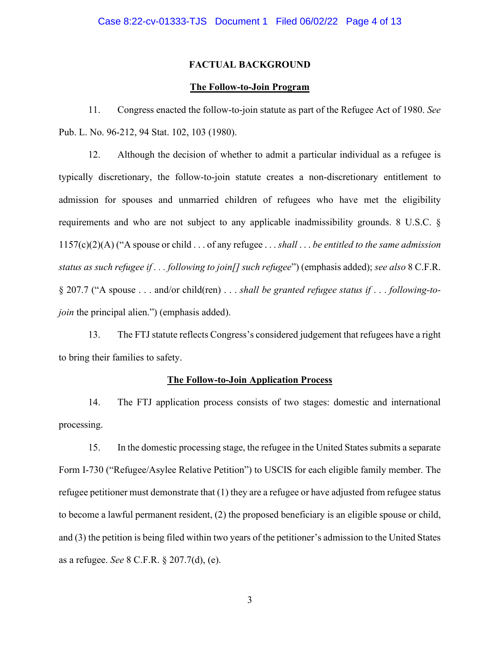#### **FACTUAL BACKGROUND**

#### **The Follow-to-Join Program**

11. Congress enacted the follow-to-join statute as part of the Refugee Act of 1980. *See*  Pub. L. No. 96-212, 94 Stat. 102, 103 (1980).

12. Although the decision of whether to admit a particular individual as a refugee is typically discretionary, the follow-to-join statute creates a non-discretionary entitlement to admission for spouses and unmarried children of refugees who have met the eligibility requirements and who are not subject to any applicable inadmissibility grounds. 8 U.S.C. § 1157(c)(2)(A) ("A spouse or child . . . of any refugee . . . *shall* . . . *be entitled to the same admission status as such refugee if . . . following to join[] such refugee*") (emphasis added); *see also* 8 C.F.R. § 207.7 ("A spouse . . . and/or child(ren) . . . *shall be granted refugee status if* . . . *following-tojoin* the principal alien.") (emphasis added).

13. The FTJ statute reflects Congress's considered judgement that refugees have a right to bring their families to safety.

### **The Follow-to-Join Application Process**

14. The FTJ application process consists of two stages: domestic and international processing.

15. In the domestic processing stage, the refugee in the United States submits a separate Form I-730 ("Refugee/Asylee Relative Petition") to USCIS for each eligible family member. The refugee petitioner must demonstrate that (1) they are a refugee or have adjusted from refugee status to become a lawful permanent resident, (2) the proposed beneficiary is an eligible spouse or child, and (3) the petition is being filed within two years of the petitioner's admission to the United States as a refugee. *See* 8 C.F.R. § 207.7(d), (e).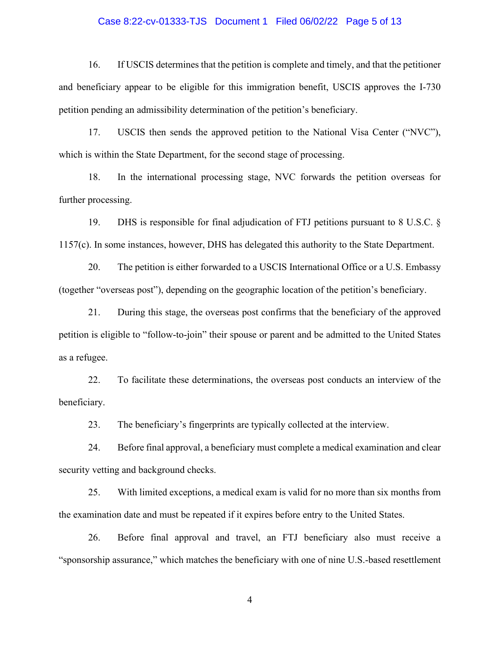### Case 8:22-cv-01333-TJS Document 1 Filed 06/02/22 Page 5 of 13

16. If USCIS determines that the petition is complete and timely, and that the petitioner and beneficiary appear to be eligible for this immigration benefit, USCIS approves the I-730 petition pending an admissibility determination of the petition's beneficiary.

17. USCIS then sends the approved petition to the National Visa Center ("NVC"), which is within the State Department, for the second stage of processing.

18. In the international processing stage, NVC forwards the petition overseas for further processing.

19. DHS is responsible for final adjudication of FTJ petitions pursuant to 8 U.S.C. § 1157(c). In some instances, however, DHS has delegated this authority to the State Department.

20. The petition is either forwarded to a USCIS International Office or a U.S. Embassy (together "overseas post"), depending on the geographic location of the petition's beneficiary.

21. During this stage, the overseas post confirms that the beneficiary of the approved petition is eligible to "follow-to-join" their spouse or parent and be admitted to the United States as a refugee.

22. To facilitate these determinations, the overseas post conducts an interview of the beneficiary.

23. The beneficiary's fingerprints are typically collected at the interview.

24. Before final approval, a beneficiary must complete a medical examination and clear security vetting and background checks.

25. With limited exceptions, a medical exam is valid for no more than six months from the examination date and must be repeated if it expires before entry to the United States.

26. Before final approval and travel, an FTJ beneficiary also must receive a "sponsorship assurance," which matches the beneficiary with one of nine U.S.-based resettlement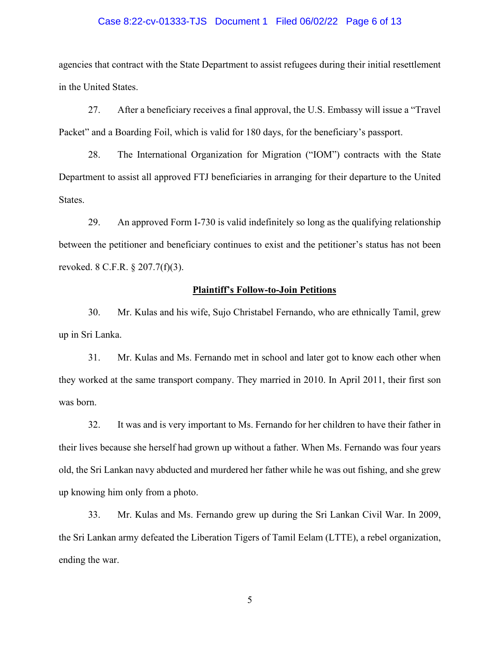### Case 8:22-cv-01333-TJS Document 1 Filed 06/02/22 Page 6 of 13

agencies that contract with the State Department to assist refugees during their initial resettlement in the United States.

27. After a beneficiary receives a final approval, the U.S. Embassy will issue a "Travel Packet" and a Boarding Foil, which is valid for 180 days, for the beneficiary's passport.

28. The International Organization for Migration ("IOM") contracts with the State Department to assist all approved FTJ beneficiaries in arranging for their departure to the United States.

29. An approved Form I-730 is valid indefinitely so long as the qualifying relationship between the petitioner and beneficiary continues to exist and the petitioner's status has not been revoked. 8 C.F.R. § 207.7(f)(3).

#### **Plaintiff's Follow-to-Join Petitions**

30. Mr. Kulas and his wife, Sujo Christabel Fernando, who are ethnically Tamil, grew up in Sri Lanka.

31. Mr. Kulas and Ms. Fernando met in school and later got to know each other when they worked at the same transport company. They married in 2010. In April 2011, their first son was born.

32. It was and is very important to Ms. Fernando for her children to have their father in their lives because she herself had grown up without a father. When Ms. Fernando was four years old, the Sri Lankan navy abducted and murdered her father while he was out fishing, and she grew up knowing him only from a photo.

33. Mr. Kulas and Ms. Fernando grew up during the Sri Lankan Civil War. In 2009, the Sri Lankan army defeated the Liberation Tigers of Tamil Eelam (LTTE), a rebel organization, ending the war.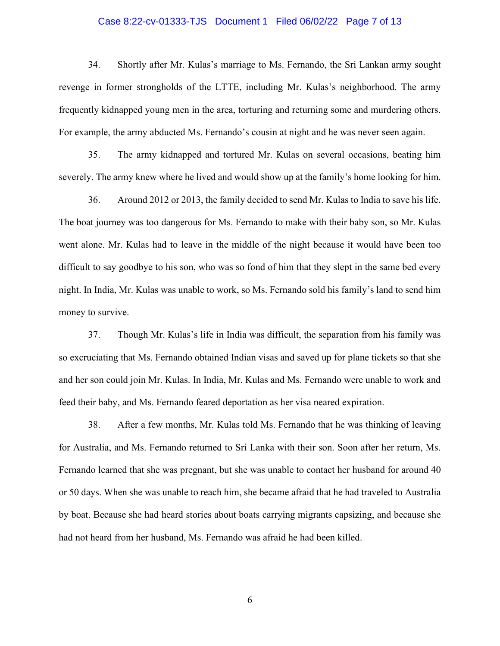### Case 8:22-cv-01333-TJS Document 1 Filed 06/02/22 Page 7 of 13

34. Shortly after Mr. Kulas's marriage to Ms. Fernando, the Sri Lankan army sought revenge in former strongholds of the LTTE, including Mr. Kulas's neighborhood. The army frequently kidnapped young men in the area, torturing and returning some and murdering others. For example, the army abducted Ms. Fernando's cousin at night and he was never seen again.

35. The army kidnapped and tortured Mr. Kulas on several occasions, beating him severely. The army knew where he lived and would show up at the family's home looking for him.

36. Around 2012 or 2013, the family decided to send Mr. Kulas to India to save his life. The boat journey was too dangerous for Ms. Fernando to make with their baby son, so Mr. Kulas went alone. Mr. Kulas had to leave in the middle of the night because it would have been too difficult to say goodbye to his son, who was so fond of him that they slept in the same bed every night. In India, Mr. Kulas was unable to work, so Ms. Fernando sold his family's land to send him money to survive.

37. Though Mr. Kulas's life in India was difficult, the separation from his family was so excruciating that Ms. Fernando obtained Indian visas and saved up for plane tickets so that she and her son could join Mr. Kulas. In India, Mr. Kulas and Ms. Fernando were unable to work and feed their baby, and Ms. Fernando feared deportation as her visa neared expiration.

38. After a few months, Mr. Kulas told Ms. Fernando that he was thinking of leaving for Australia, and Ms. Fernando returned to Sri Lanka with their son. Soon after her return, Ms. Fernando learned that she was pregnant, but she was unable to contact her husband for around 40 or 50 days. When she was unable to reach him, she became afraid that he had traveled to Australia by boat. Because she had heard stories about boats carrying migrants capsizing, and because she had not heard from her husband, Ms. Fernando was afraid he had been killed.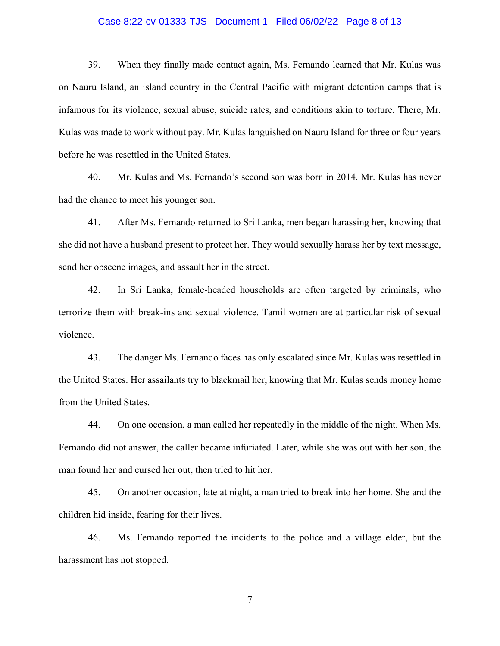## Case 8:22-cv-01333-TJS Document 1 Filed 06/02/22 Page 8 of 13

39. When they finally made contact again, Ms. Fernando learned that Mr. Kulas was on Nauru Island, an island country in the Central Pacific with migrant detention camps that is infamous for its violence, sexual abuse, suicide rates, and conditions akin to torture. There, Mr. Kulas was made to work without pay. Mr. Kulas languished on Nauru Island for three or four years before he was resettled in the United States.

40. Mr. Kulas and Ms. Fernando's second son was born in 2014. Mr. Kulas has never had the chance to meet his younger son.

41. After Ms. Fernando returned to Sri Lanka, men began harassing her, knowing that she did not have a husband present to protect her. They would sexually harass her by text message, send her obscene images, and assault her in the street.

42. In Sri Lanka, female-headed households are often targeted by criminals, who terrorize them with break-ins and sexual violence. Tamil women are at particular risk of sexual violence.

43. The danger Ms. Fernando faces has only escalated since Mr. Kulas was resettled in the United States. Her assailants try to blackmail her, knowing that Mr. Kulas sends money home from the United States.

44. On one occasion, a man called her repeatedly in the middle of the night. When Ms. Fernando did not answer, the caller became infuriated. Later, while she was out with her son, the man found her and cursed her out, then tried to hit her.

45. On another occasion, late at night, a man tried to break into her home. She and the children hid inside, fearing for their lives.

46. Ms. Fernando reported the incidents to the police and a village elder, but the harassment has not stopped.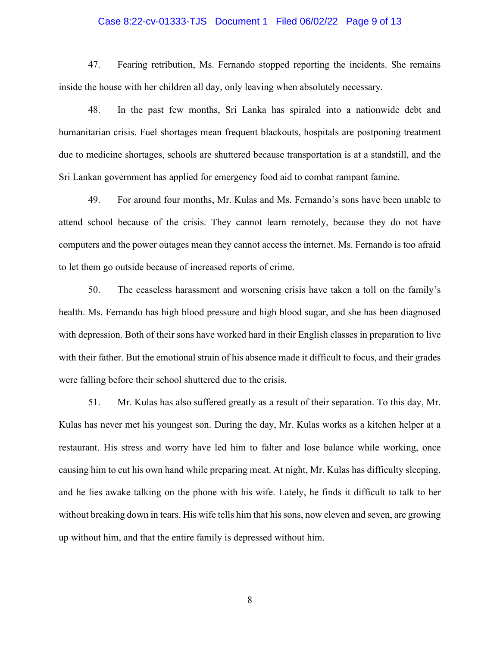### Case 8:22-cv-01333-TJS Document 1 Filed 06/02/22 Page 9 of 13

47. Fearing retribution, Ms. Fernando stopped reporting the incidents. She remains inside the house with her children all day, only leaving when absolutely necessary.

48. In the past few months, Sri Lanka has spiraled into a nationwide debt and humanitarian crisis. Fuel shortages mean frequent blackouts, hospitals are postponing treatment due to medicine shortages, schools are shuttered because transportation is at a standstill, and the Sri Lankan government has applied for emergency food aid to combat rampant famine.

49. For around four months, Mr. Kulas and Ms. Fernando's sons have been unable to attend school because of the crisis. They cannot learn remotely, because they do not have computers and the power outages mean they cannot access the internet. Ms. Fernando is too afraid to let them go outside because of increased reports of crime.

50. The ceaseless harassment and worsening crisis have taken a toll on the family's health. Ms. Fernando has high blood pressure and high blood sugar, and she has been diagnosed with depression. Both of their sons have worked hard in their English classes in preparation to live with their father. But the emotional strain of his absence made it difficult to focus, and their grades were falling before their school shuttered due to the crisis.

51. Mr. Kulas has also suffered greatly as a result of their separation. To this day, Mr. Kulas has never met his youngest son. During the day, Mr. Kulas works as a kitchen helper at a restaurant. His stress and worry have led him to falter and lose balance while working, once causing him to cut his own hand while preparing meat. At night, Mr. Kulas has difficulty sleeping, and he lies awake talking on the phone with his wife. Lately, he finds it difficult to talk to her without breaking down in tears. His wife tells him that his sons, now eleven and seven, are growing up without him, and that the entire family is depressed without him.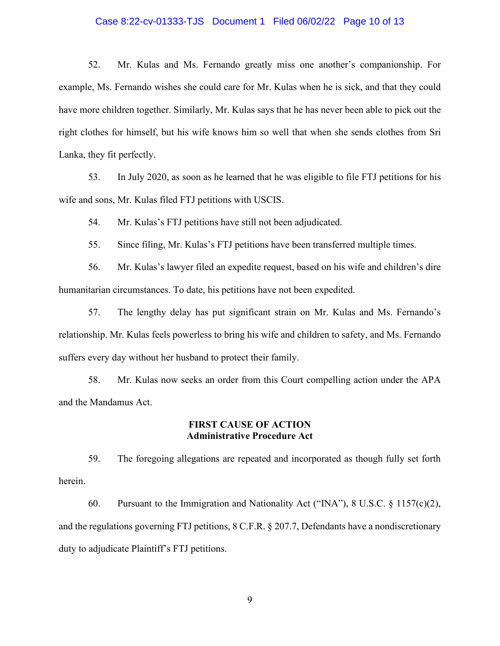### Case 8:22-cv-01333-TJS Document 1 Filed 06/02/22 Page 10 of 13

52. Mr. Kulas and Ms. Fernando greatly miss one another's companionship. For example, Ms. Fernando wishes she could care for Mr. Kulas when he is sick, and that they could have more children together. Similarly, Mr. Kulas says that he has never been able to pick out the right clothes for himself, but his wife knows him so well that when she sends clothes from Sri Lanka, they fit perfectly.

53. In July 2020, as soon as he learned that he was eligible to file FTJ petitions for his wife and sons, Mr. Kulas filed FTJ petitions with USCIS.

54. Mr. Kulas's FTJ petitions have still not been adjudicated.

55. Since filing, Mr. Kulas's FTJ petitions have been transferred multiple times.

56. Mr. Kulas's lawyer filed an expedite request, based on his wife and children's dire humanitarian circumstances. To date, his petitions have not been expedited.

57. The lengthy delay has put significant strain on Mr. Kulas and Ms. Fernando's relationship. Mr. Kulas feels powerless to bring his wife and children to safety, and Ms. Fernando suffers every day without her husband to protect their family.

58. Mr. Kulas now seeks an order from this Court compelling action under the APA and the Mandamus Act.

#### **FIRST CAUSE OF ACTION Administrative Procedure Act**

59. The foregoing allegations are repeated and incorporated as though fully set forth herein.

60. Pursuant to the Immigration and Nationality Act ("INA"),  $8 \text{ U.S.C. } 8 \text{ 1157(c)(2)}$ , and the regulations governing FTJ petitions, 8 C.F.R. § 207.7, Defendants have a nondiscretionary duty to adjudicate Plaintiff's FTJ petitions.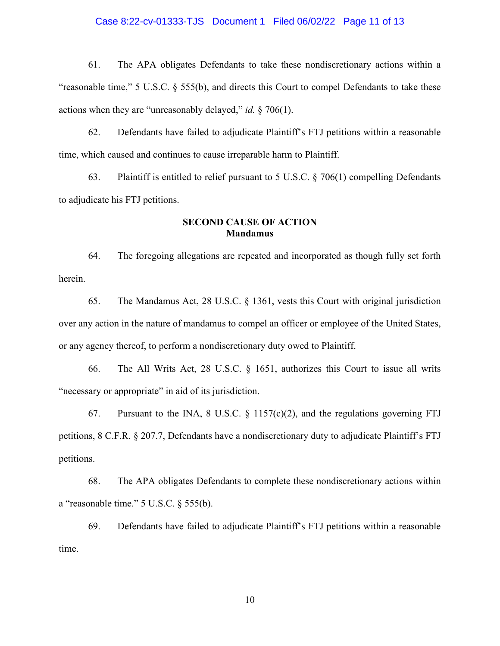### Case 8:22-cv-01333-TJS Document 1 Filed 06/02/22 Page 11 of 13

61. The APA obligates Defendants to take these nondiscretionary actions within a "reasonable time," 5 U.S.C. § 555(b), and directs this Court to compel Defendants to take these actions when they are "unreasonably delayed," *id.* § 706(1).

62. Defendants have failed to adjudicate Plaintiff's FTJ petitions within a reasonable time, which caused and continues to cause irreparable harm to Plaintiff.

63. Plaintiff is entitled to relief pursuant to 5 U.S.C.  $\S 706(1)$  compelling Defendants to adjudicate his FTJ petitions.

## **SECOND CAUSE OF ACTION Mandamus**

64. The foregoing allegations are repeated and incorporated as though fully set forth herein.

65. The Mandamus Act, 28 U.S.C. § 1361, vests this Court with original jurisdiction over any action in the nature of mandamus to compel an officer or employee of the United States, or any agency thereof, to perform a nondiscretionary duty owed to Plaintiff.

66. The All Writs Act, 28 U.S.C. § 1651, authorizes this Court to issue all writs "necessary or appropriate" in aid of its jurisdiction.

67. Pursuant to the INA, 8 U.S.C.  $\S$  1157(c)(2), and the regulations governing FTJ petitions, 8 C.F.R. § 207.7, Defendants have a nondiscretionary duty to adjudicate Plaintiff's FTJ petitions.

68. The APA obligates Defendants to complete these nondiscretionary actions within a "reasonable time." 5 U.S.C. § 555(b).

69. Defendants have failed to adjudicate Plaintiff's FTJ petitions within a reasonable time.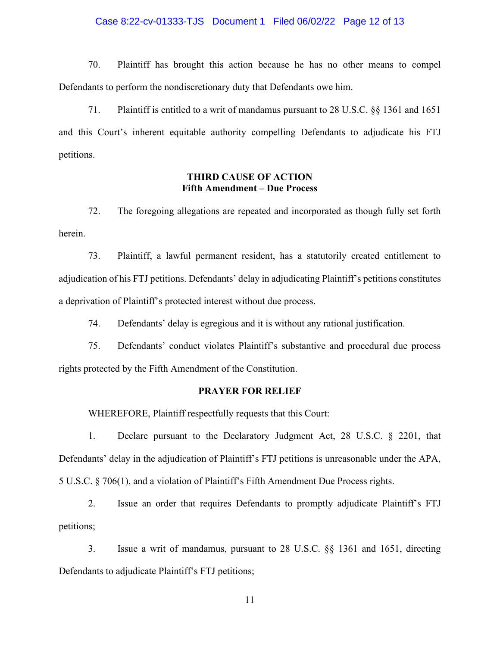### Case 8:22-cv-01333-TJS Document 1 Filed 06/02/22 Page 12 of 13

70. Plaintiff has brought this action because he has no other means to compel Defendants to perform the nondiscretionary duty that Defendants owe him.

71. Plaintiff is entitled to a writ of mandamus pursuant to 28 U.S.C. §§ 1361 and 1651 and this Court's inherent equitable authority compelling Defendants to adjudicate his FTJ petitions.

## **THIRD CAUSE OF ACTION Fifth Amendment – Due Process**

72. The foregoing allegations are repeated and incorporated as though fully set forth herein.

73. Plaintiff, a lawful permanent resident, has a statutorily created entitlement to adjudication of his FTJ petitions. Defendants' delay in adjudicating Plaintiff's petitions constitutes a deprivation of Plaintiff's protected interest without due process.

74. Defendants' delay is egregious and it is without any rational justification.

75. Defendants' conduct violates Plaintiff's substantive and procedural due process rights protected by the Fifth Amendment of the Constitution.

## **PRAYER FOR RELIEF**

WHEREFORE, Plaintiff respectfully requests that this Court:

1. Declare pursuant to the Declaratory Judgment Act, 28 U.S.C. § 2201, that Defendants' delay in the adjudication of Plaintiff's FTJ petitions is unreasonable under the APA, 5 U.S.C. § 706(1), and a violation of Plaintiff's Fifth Amendment Due Process rights.

2. Issue an order that requires Defendants to promptly adjudicate Plaintiff's FTJ petitions;

3. Issue a writ of mandamus, pursuant to 28 U.S.C. §§ 1361 and 1651, directing Defendants to adjudicate Plaintiff's FTJ petitions;